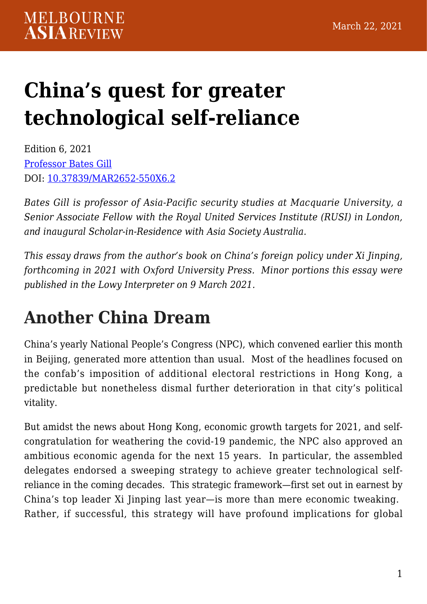# **[China's quest for greater](https://melbourneasiareview.edu.au/chinas-quest-for-greater-technological-self-reliance/) [technological self-reliance](https://melbourneasiareview.edu.au/chinas-quest-for-greater-technological-self-reliance/)**

Edition 6, 2021 [Professor Bates Gill](https://asiasociety.org/australia/professor-bates-gill-joins-asia-society-australia-scholar-residence-under-new-partnership) DOI: 10.37839/MAR2652-550X6.2

*Bates Gill is professor of Asia-Pacific security studies at Macquarie University, a Senior Associate Fellow with the Royal United Services Institute (RUSI) in London, and inaugural Scholar-in-Residence with Asia Society Australia.*

*This essay draws from the author's book on China's foreign policy under Xi Jinping, forthcoming in 2021 with Oxford University Press. Minor portions this essay were published in the Lowy Interpreter on 9 March 2021.* 

### **Another China Dream**

China's yearly National People's Congress (NPC), which convened earlier this month in Beijing, generated more attention than usual. Most of the headlines focused on the confab's imposition of additional electoral restrictions in Hong Kong, a predictable but nonetheless dismal further deterioration in that city's political vitality.

But amidst the news about Hong Kong, economic growth targets for 2021, and selfcongratulation for weathering the covid-19 pandemic, the NPC also approved an ambitious economic agenda for the next 15 years. In particular, the assembled delegates endorsed a sweeping strategy to achieve greater technological selfreliance in the coming decades. This strategic framework—first set out in earnest by China's top leader Xi Jinping last year—is more than mere economic tweaking. Rather, if successful, this strategy will have profound implications for global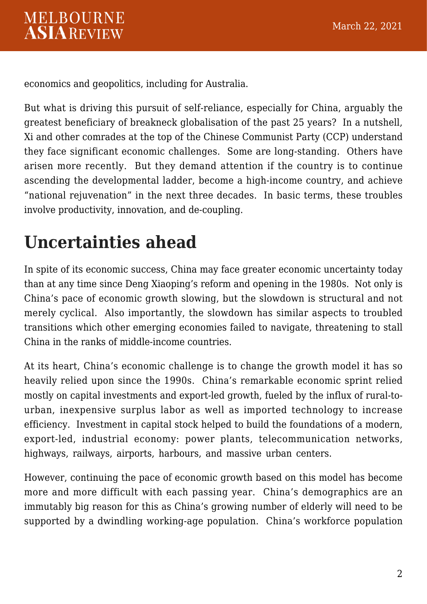economics and geopolitics, including for Australia.

But what is driving this pursuit of self-reliance, especially for China, arguably the greatest beneficiary of breakneck globalisation of the past 25 years? In a nutshell, Xi and other comrades at the top of the Chinese Communist Party (CCP) understand they face significant economic challenges. Some are long-standing. Others have arisen more recently. But they demand attention if the country is to continue ascending the developmental ladder, become a high-income country, and achieve "national rejuvenation" in the next three decades. In basic terms, these troubles involve productivity, innovation, and de-coupling.

## **Uncertainties ahead**

In spite of its economic success, China may face greater economic uncertainty today than at any time since Deng Xiaoping's reform and opening in the 1980s. Not only is China's pace of economic growth slowing, but the slowdown is structural and not merely cyclical. Also importantly, the slowdown has similar aspects to troubled transitions which other emerging economies failed to navigate, threatening to stall China in the ranks of middle-income countries.

At its heart, China's economic challenge is to change the growth model it has so heavily relied upon since the 1990s. China's remarkable economic sprint relied mostly on capital investments and export-led growth, fueled by the influx of rural-tourban, inexpensive surplus labor as well as imported technology to increase efficiency. Investment in capital stock helped to build the foundations of a modern, export-led, industrial economy: power plants, telecommunication networks, highways, railways, airports, harbours, and massive urban centers.

<span id="page-1-0"></span>However, continuing the pace of economic growth based on this model has become more and more difficult with each passing year. China's demographics are an immutably big reason for this as China's growing number of elderly will need to be supported by a dwindling working-age population. China's workforce population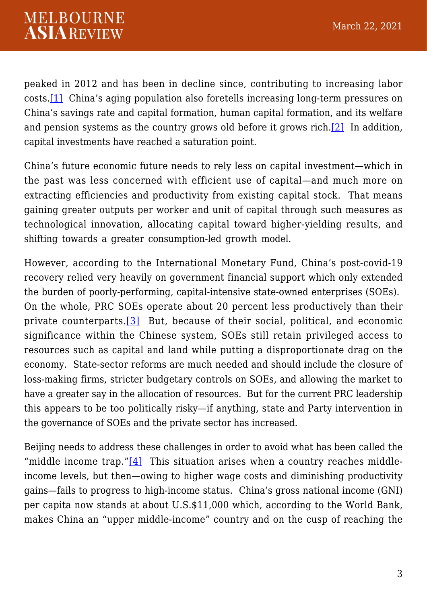peaked in 2012 and has been in decline since, contributing to increasing labor costs.[\[1\]](#page-11-0) China's aging population also foretells increasing long-term pressures on China's savings rate and capital formation, human capital formation, and its welfare and pension systems as the country grows old before it grows rich.[\[2\]](#page-11-1) In addition, capital investments have reached a saturation point.

<span id="page-2-0"></span>China's future economic future needs to rely less on capital investment—which in the past was less concerned with efficient use of capital—and much more on extracting efficiencies and productivity from existing capital stock. That means gaining greater outputs per worker and unit of capital through such measures as technological innovation, allocating capital toward higher-yielding results, and shifting towards a greater consumption-led growth model.

<span id="page-2-1"></span>However, according to the International Monetary Fund, China's post-covid-19 recovery relied very heavily on government financial support which only extended the burden of poorly-performing, capital-intensive state-owned enterprises (SOEs). On the whole, PRC SOEs operate about 20 percent less productively than their private counterparts.<sup>[\[3\]](#page-11-2)</sup> But, because of their social, political, and economic significance within the Chinese system, SOEs still retain privileged access to resources such as capital and land while putting a disproportionate drag on the economy. State-sector reforms are much needed and should include the closure of loss-making firms, stricter budgetary controls on SOEs, and allowing the market to have a greater say in the allocation of resources. But for the current PRC leadership this appears to be too politically risky—if anything, state and Party intervention in the governance of SOEs and the private sector has increased.

<span id="page-2-2"></span>Beijing needs to address these challenges in order to avoid what has been called the "middle income trap." $[4]$  This situation arises when a country reaches middleincome levels, but then—owing to higher wage costs and diminishing productivity gains—fails to progress to high-income status. China's gross national income (GNI) per capita now stands at about U.S.\$11,000 which, according to the World Bank, makes China an "upper middle-income" country and on the cusp of reaching the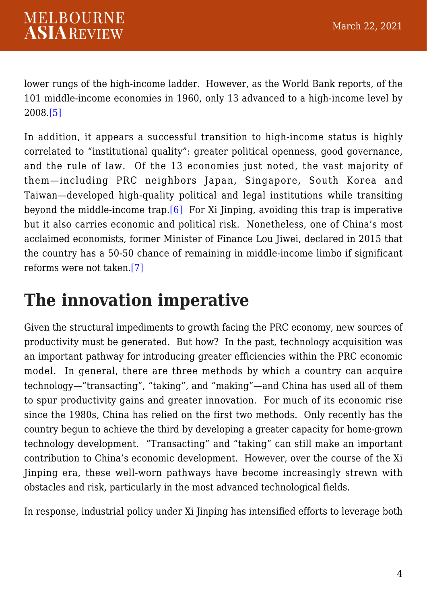lower rungs of the high-income ladder. However, as the World Bank reports, of the 101 middle-income economies in 1960, only 13 advanced to a high-income level by 2008[.\[5\]](#page-11-4)

<span id="page-3-1"></span><span id="page-3-0"></span>In addition, it appears a successful transition to high-income status is highly correlated to "institutional quality": greater political openness, good governance, and the rule of law. Of the 13 economies just noted, the vast majority of them—including PRC neighbors Japan, Singapore, South Korea and Taiwan—developed high-quality political and legal institutions while transiting beyond the middle-income trap.  $[6]$  For Xi Jinping, avoiding this trap is imperative but it also carries economic and political risk. Nonetheless, one of China's most acclaimed economists, former Minister of Finance Lou Jiwei, declared in 2015 that the country has a 50-50 chance of remaining in middle-income limbo if significant reforms were not taken.[\[7\]](#page-12-1)

### <span id="page-3-2"></span>**The innovation imperative**

Given the structural impediments to growth facing the PRC economy, new sources of productivity must be generated. But how? In the past, technology acquisition was an important pathway for introducing greater efficiencies within the PRC economic model. In general, there are three methods by which a country can acquire technology—"transacting", "taking", and "making"—and China has used all of them to spur productivity gains and greater innovation. For much of its economic rise since the 1980s, China has relied on the first two methods. Only recently has the country begun to achieve the third by developing a greater capacity for home-grown technology development. "Transacting" and "taking" can still make an important contribution to China's economic development. However, over the course of the Xi Jinping era, these well-worn pathways have become increasingly strewn with obstacles and risk, particularly in the most advanced technological fields.

In response, industrial policy under Xi Jinping has intensified efforts to leverage both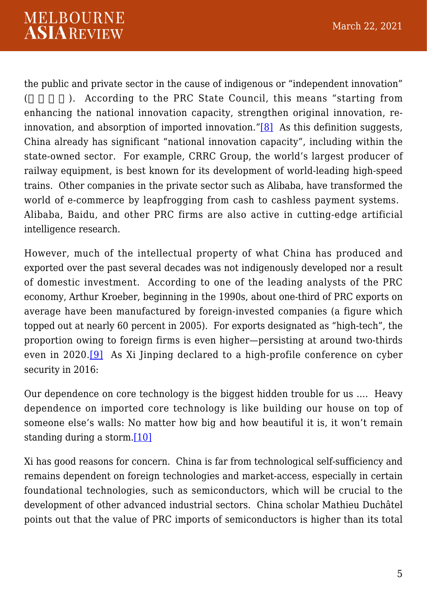<span id="page-4-0"></span>the public and private sector in the cause of indigenous or "independent innovation" (
). According to the PRC State Council, this means "starting from enhancing the national innovation capacity, strengthen original innovation, reinnovation, and absorption of imported innovation." $[8]$  As this definition suggests, China already has significant "national innovation capacity", including within the state-owned sector. For example, CRRC Group, the world's largest producer of railway equipment, is best known for its development of world-leading high-speed trains. Other companies in the private sector such as Alibaba, have transformed the world of e-commerce by leapfrogging from cash to cashless payment systems. Alibaba, Baidu, and other PRC firms are also active in cutting-edge artificial intelligence research.

However, much of the intellectual property of what China has produced and exported over the past several decades was not indigenously developed nor a result of domestic investment. According to one of the leading analysts of the PRC economy, Arthur Kroeber, beginning in the 1990s, about one-third of PRC exports on average have been manufactured by foreign-invested companies (a figure which topped out at nearly 60 percent in 2005). For exports designated as "high-tech", the proportion owing to foreign firms is even higher—persisting at around two-thirds even in 2020.[\[9\]](#page-12-3) As Xi Jinping declared to a high-profile conference on cyber security in 2016:

<span id="page-4-1"></span>Our dependence on core technology is the biggest hidden trouble for us …. Heavy dependence on imported core technology is like building our house on top of someone else's walls: No matter how big and how beautiful it is, it won't remain standing during a storm.[\[10\]](#page-12-4)

<span id="page-4-2"></span>Xi has good reasons for concern. China is far from technological self-sufficiency and remains dependent on foreign technologies and market-access, especially in certain foundational technologies, such as semiconductors, which will be crucial to the development of other advanced industrial sectors. China scholar Mathieu Duchâtel points out that the value of PRC imports of semiconductors is higher than its total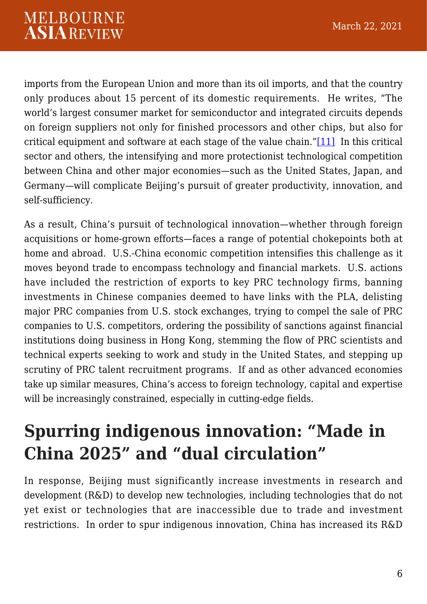<span id="page-5-0"></span>imports from the European Union and more than its oil imports, and that the country only produces about 15 percent of its domestic requirements. He writes, "The world's largest consumer market for semiconductor and integrated circuits depends on foreign suppliers not only for finished processors and other chips, but also for critical equipment and software at each stage of the value chain."[\[11\]](#page-12-5) In this critical sector and others, the intensifying and more protectionist technological competition between China and other major economies—such as the United States, Japan, and Germany—will complicate Beijing's pursuit of greater productivity, innovation, and self-sufficiency.

As a result, China's pursuit of technological innovation—whether through foreign acquisitions or home-grown efforts—faces a range of potential chokepoints both at home and abroad. U.S.-China economic competition intensifies this challenge as it moves beyond trade to encompass technology and financial markets. U.S. actions have included the restriction of exports to key PRC technology firms, banning investments in Chinese companies deemed to have links with the PLA, delisting major PRC companies from U.S. stock exchanges, trying to compel the sale of PRC companies to U.S. competitors, ordering the possibility of sanctions against financial institutions doing business in Hong Kong, stemming the flow of PRC scientists and technical experts seeking to work and study in the United States, and stepping up scrutiny of PRC talent recruitment programs. If and as other advanced economies take up similar measures, China's access to foreign technology, capital and expertise will be increasingly constrained, especially in cutting-edge fields.

### **Spurring indigenous innovation: "Made in China 2025" and "dual circulation"**

In response, Beijing must significantly increase investments in research and development (R&D) to develop new technologies, including technologies that do not yet exist or technologies that are inaccessible due to trade and investment restrictions. In order to spur indigenous innovation, China has increased its R&D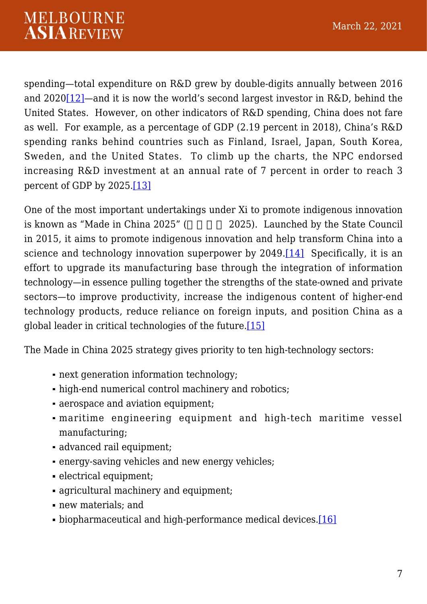<span id="page-6-0"></span>spending—total expenditure on R&D grew by double-digits annually between 2016 and 202[0\[12\]—](#page-13-0)and it is now the world's second largest investor in R&D, behind the United States. However, on other indicators of R&D spending, China does not fare as well. For example, as a percentage of GDP (2.19 percent in 2018), China's R&D spending ranks behind countries such as Finland, Israel, Japan, South Korea, Sweden, and the United States. To climb up the charts, the NPC endorsed increasing R&D investment at an annual rate of 7 percent in order to reach 3 percent of GDP by 2025[.\[13\]](#page-13-1)

<span id="page-6-2"></span><span id="page-6-1"></span>One of the most important undertakings under Xi to promote indigenous innovation is known as "Made in China 2025" (2025). Launched by the State Council in 2015, it aims to promote indigenous innovation and help transform China into a science and technology innovation superpower by 2049.<sup>[\[14\]](#page-13-2)</sup> Specifically, it is an effort to upgrade its manufacturing base through the integration of information technology—in essence pulling together the strengths of the state-owned and private sectors—to improve productivity, increase the indigenous content of higher-end technology products, reduce reliance on foreign inputs, and position China as a global leader in critical technologies of the future[.\[15\]](#page-13-3)

<span id="page-6-3"></span>The Made in China 2025 strategy gives priority to ten high-technology sectors:

- next generation information technology:
- high-end numerical control machinery and robotics;
- aerospace and aviation equipment;
- maritime engineering equipment and high-tech maritime vessel manufacturing;
- advanced rail equipment;
- energy-saving vehicles and new energy vehicles;
- electrical equipment;
- agricultural machinery and equipment:
- new materials; and
- <span id="page-6-4"></span>• biopharmaceutical and high-performance medical devices[.\[16\]](#page-14-0)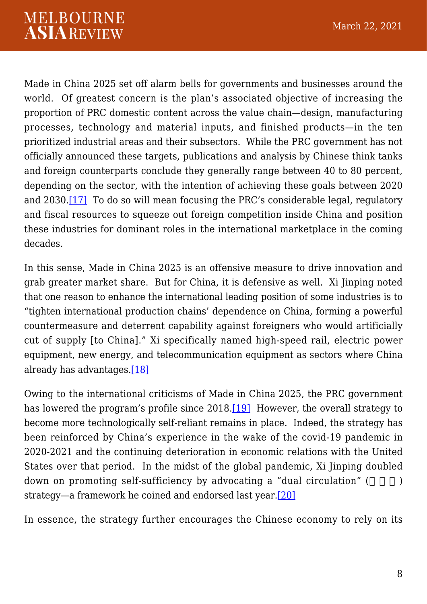Made in China 2025 set off alarm bells for governments and businesses around the world. Of greatest concern is the plan's associated objective of increasing the proportion of PRC domestic content across the value chain—design, manufacturing processes, technology and material inputs, and finished products—in the ten prioritized industrial areas and their subsectors. While the PRC government has not officially announced these targets, publications and analysis by Chinese think tanks and foreign counterparts conclude they generally range between 40 to 80 percent, depending on the sector, with the intention of achieving these goals between 2020 and 2030[.\[17\]](#page-14-1) To do so will mean focusing the PRC's considerable legal, regulatory and fiscal resources to squeeze out foreign competition inside China and position these industries for dominant roles in the international marketplace in the coming decades.

<span id="page-7-0"></span>In this sense, Made in China 2025 is an offensive measure to drive innovation and grab greater market share. But for China, it is defensive as well. Xi Jinping noted that one reason to enhance the international leading position of some industries is to "tighten international production chains' dependence on China, forming a powerful countermeasure and deterrent capability against foreigners who would artificially cut of supply [to China]." Xi specifically named high-speed rail, electric power equipment, new energy, and telecommunication equipment as sectors where China already has advantages.[\[18\]](#page-14-2)

<span id="page-7-2"></span><span id="page-7-1"></span>Owing to the international criticisms of Made in China 2025, the PRC government has lowered the program's profile since 2018.<sup>[\[19\]](#page-14-3)</sup> However, the overall strategy to become more technologically self-reliant remains in place. Indeed, the strategy has been reinforced by China's experience in the wake of the covid-19 pandemic in 2020-2021 and the continuing deterioration in economic relations with the United States over that period. In the midst of the global pandemic, Xi Jinping doubled down on promoting self-sufficiency by advocating a "dual circulation" ( $\qquad \qquad$ ) strategy—a framework he coined and endorsed last year[.\[20\]](#page-15-0)

<span id="page-7-3"></span>In essence, the strategy further encourages the Chinese economy to rely on its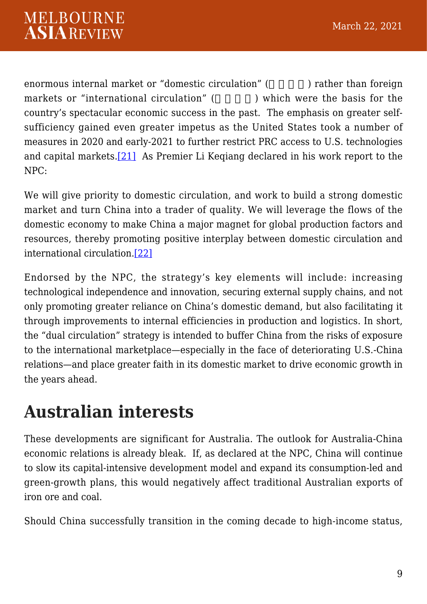enormous internal market or "domestic circulation" (entitled in rather than foreign markets or "international circulation" (a.g. ) which were the basis for the country's spectacular economic success in the past. The emphasis on greater selfsufficiency gained even greater impetus as the United States took a number of measures in 2020 and early-2021 to further restrict PRC access to U.S. technologies and capital markets.[\[21\]](#page-15-1) As Premier Li Keqiang declared in his work report to the NPC:

<span id="page-8-0"></span>We will give priority to domestic circulation, and work to build a strong domestic market and turn China into a trader of quality. We will leverage the flows of the domestic economy to make China a major magnet for global production factors and resources, thereby promoting positive interplay between domestic circulation and international circulation[.\[22\]](#page-15-2)

<span id="page-8-1"></span>Endorsed by the NPC, the strategy's key elements will include: increasing technological independence and innovation, securing external supply chains, and not only promoting greater reliance on China's domestic demand, but also facilitating it through improvements to internal efficiencies in production and logistics. In short, the "dual circulation" strategy is intended to buffer China from the risks of exposure to the international marketplace—especially in the face of deteriorating U.S.-China relations—and place greater faith in its domestic market to drive economic growth in the years ahead.

### **Australian interests**

These developments are significant for Australia. The outlook for Australia-China economic relations is already bleak. If, as declared at the NPC, China will continue to slow its capital-intensive development model and expand its consumption-led and green-growth plans, this would negatively affect traditional Australian exports of iron ore and coal.

Should China successfully transition in the coming decade to high-income status,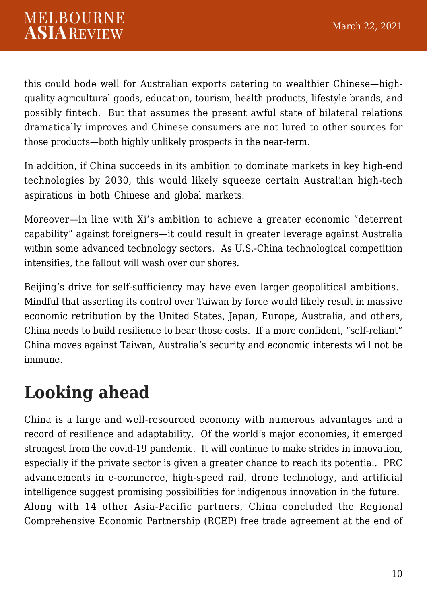this could bode well for Australian exports catering to wealthier Chinese—highquality agricultural goods, education, tourism, health products, lifestyle brands, and possibly fintech. But that assumes the present awful state of bilateral relations dramatically improves and Chinese consumers are not lured to other sources for those products—both highly unlikely prospects in the near-term.

In addition, if China succeeds in its ambition to dominate markets in key high-end technologies by 2030, this would likely squeeze certain Australian high-tech aspirations in both Chinese and global markets.

Moreover—in line with Xi's ambition to achieve a greater economic "deterrent capability" against foreigners—it could result in greater leverage against Australia within some advanced technology sectors. As U.S.-China technological competition intensifies, the fallout will wash over our shores.

Beijing's drive for self-sufficiency may have even larger geopolitical ambitions. Mindful that asserting its control over Taiwan by force would likely result in massive economic retribution by the United States, Japan, Europe, Australia, and others, China needs to build resilience to bear those costs. If a more confident, "self-reliant" China moves against Taiwan, Australia's security and economic interests will not be immune.

### **Looking ahead**

China is a large and well-resourced economy with numerous advantages and a record of resilience and adaptability. Of the world's major economies, it emerged strongest from the covid-19 pandemic. It will continue to make strides in innovation, especially if the private sector is given a greater chance to reach its potential. PRC advancements in e-commerce, high-speed rail, drone technology, and artificial intelligence suggest promising possibilities for indigenous innovation in the future. Along with 14 other Asia-Pacific partners, China concluded the Regional Comprehensive Economic Partnership (RCEP) free trade agreement at the end of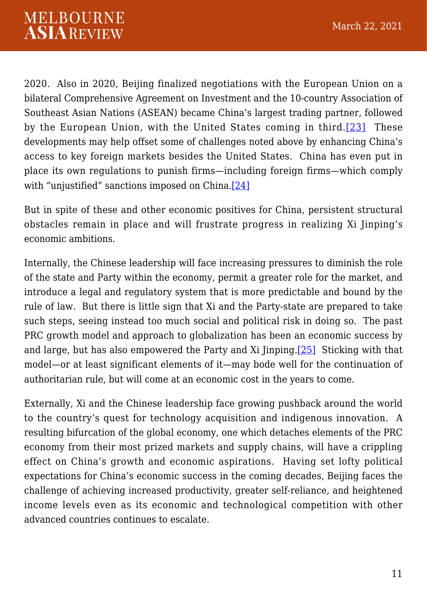<span id="page-10-0"></span>2020. Also in 2020, Beijing finalized negotiations with the European Union on a bilateral Comprehensive Agreement on Investment and the 10-country Association of Southeast Asian Nations (ASEAN) became China's largest trading partner, followed by the European Union, with the United States coming in third.[\[23\]](#page-15-3) These developments may help offset some of challenges noted above by enhancing China's access to key foreign markets besides the United States. China has even put in place its own regulations to punish firms—including foreign firms—which comply with "unjustified" sanctions imposed on China[.\[24\]](#page-15-4)

<span id="page-10-1"></span>But in spite of these and other economic positives for China, persistent structural obstacles remain in place and will frustrate progress in realizing Xi Jinping's economic ambitions.

Internally, the Chinese leadership will face increasing pressures to diminish the role of the state and Party within the economy, permit a greater role for the market, and introduce a legal and regulatory system that is more predictable and bound by the rule of law. But there is little sign that Xi and the Party-state are prepared to take such steps, seeing instead too much social and political risk in doing so. The past PRC growth model and approach to globalization has been an economic success by and large, but has also empowered the Party and Xi Jinping.[\[25\]](#page-15-5) Sticking with that model—or at least significant elements of it—may bode well for the continuation of authoritarian rule, but will come at an economic cost in the years to come.

<span id="page-10-2"></span>Externally, Xi and the Chinese leadership face growing pushback around the world to the country's quest for technology acquisition and indigenous innovation. A resulting bifurcation of the global economy, one which detaches elements of the PRC economy from their most prized markets and supply chains, will have a crippling effect on China's growth and economic aspirations. Having set lofty political expectations for China's economic success in the coming decades, Beijing faces the challenge of achieving increased productivity, greater self-reliance, and heightened income levels even as its economic and technological competition with other advanced countries continues to escalate.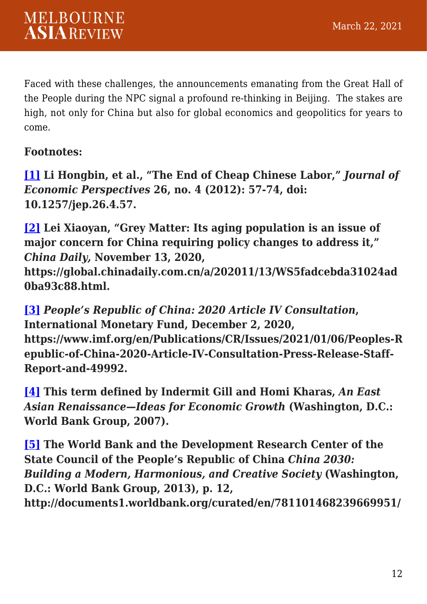Faced with these challenges, the announcements emanating from the Great Hall of the People during the NPC signal a profound re-thinking in Beijing. The stakes are high, not only for China but also for global economics and geopolitics for years to come.

#### **Footnotes:**

<span id="page-11-0"></span>**[\[1\]](#page-1-0) Li Hongbin, et al., "The End of Cheap Chinese Labor,"** *Journal of Economic Perspectives* **26, no. 4 (2012): 57-74, doi: 10.1257/jep.26.4.57.**

<span id="page-11-1"></span>**[\[2\]](#page-2-0) Lei Xiaoyan, "Grey Matter: Its aging population is an issue of major concern for China requiring policy changes to address it,"** *China Daily,* **November 13, 2020,**

**https://global.chinadaily.com.cn/a/202011/13/WS5fadcebda31024ad 0ba93c88.html.**

<span id="page-11-2"></span>**[\[3\]](#page-2-1)** *People's Republic of China: 2020 Article IV Consultation***, International Monetary Fund, December 2, 2020, https://www.imf.org/en/Publications/CR/Issues/2021/01/06/Peoples-R epublic-of-China-2020-Article-IV-Consultation-Press-Release-Staff-Report-and-49992.**

<span id="page-11-3"></span>**[\[4\]](#page-2-2) This term defined by Indermit Gill and Homi Kharas,** *An East Asian Renaissance—Ideas for Economic Growth* **(Washington, D.C.: World Bank Group, 2007).**

<span id="page-11-4"></span>**[\[5\]](#page-3-0) The World Bank and the Development Research Center of the State Council of the People's Republic of China** *China 2030: Building a Modern, Harmonious, and Creative Society* **(Washington, D.C.: World Bank Group, 2013), p. 12, http://documents1.worldbank.org/curated/en/781101468239669951/**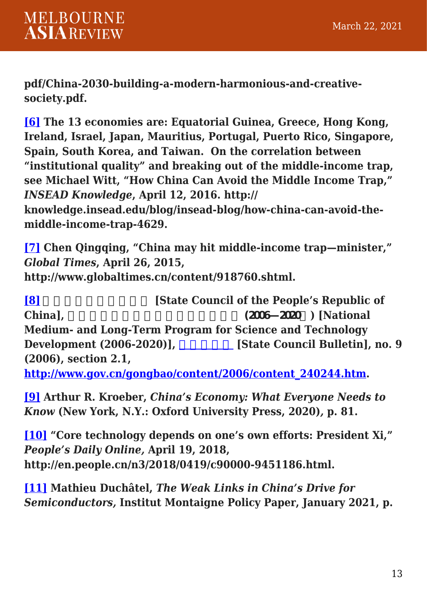**pdf/China-2030-building-a-modern-harmonious-and-creativesociety.pdf.**

<span id="page-12-0"></span>**[\[6\]](#page-3-1) The 13 economies are: Equatorial Guinea, Greece, Hong Kong, Ireland, Israel, Japan, Mauritius, Portugal, Puerto Rico, Singapore, Spain, South Korea, and Taiwan. On the correlation between "institutional quality" and breaking out of the middle-income trap, see Michael Witt, "How China Can Avoid the Middle Income Trap,"** *INSEAD Knowledge***, April 12, 2016. http:// knowledge.insead.edu/blog/insead-blog/how-china-can-avoid-the-**

**middle-income-trap-4629.**

<span id="page-12-1"></span>**[\[7\]](#page-3-2) Chen Qingqing, "China may hit middle-income trap—minister,"** *Global Times***, April 26, 2015, http://www.globaltimes.cn/content/918760.shtml.**

<span id="page-12-2"></span>**[\[8\]](#page-4-0) heating in Eq. 13. [State Council of the People's Republic of China],**  $(2006-2020)$  [National **Medium- and Long-Term Program for Science and Technology Development (2006-2020)], \_\_\_\_\_\_\_\_\_\_ [State Council Bulletin], no. 9 (2006), section 2.1,**

**[http://www.gov.cn/gongbao/content/2006/content\\_240244.htm.](http://www.gov.cn/gongbao/content/2006/content_240244.htm)**

<span id="page-12-3"></span>**[\[9\]](#page-4-1) Arthur R. Kroeber,** *China's Economy: What Everyone Needs to Know* **(New York, N.Y.: Oxford University Press, 2020)***,* **p. 81.**

<span id="page-12-4"></span>**[\[10\]](#page-4-2) "Core technology depends on one's own efforts: President Xi,"** *People's Daily Online,* **April 19, 2018, http://en.people.cn/n3/2018/0419/c90000-9451186.html.**

<span id="page-12-5"></span>**[\[11\]](#page-5-0) Mathieu Duchâtel,** *The Weak Links in China's Drive for Semiconductors,* **Institut Montaigne Policy Paper, January 2021, p.**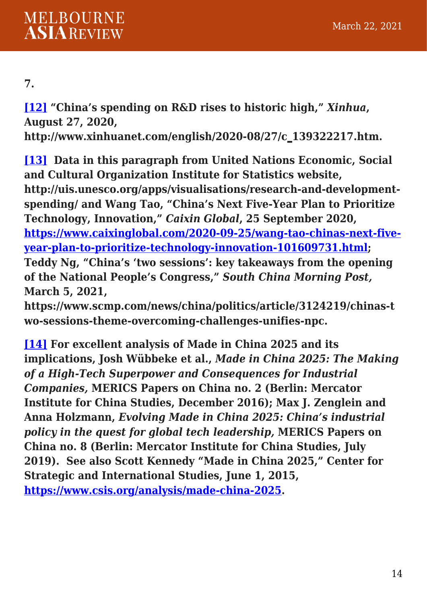#### **7.**

<span id="page-13-0"></span>**[\[12\]](#page-6-0) "China's spending on R&D rises to historic high,"** *Xinhua***, August 27, 2020,**

**http://www.xinhuanet.com/english/2020-08/27/c\_139322217.htm.**

<span id="page-13-1"></span>**[\[13\]](#page-6-1) Data in this paragraph from United Nations Economic, Social and Cultural Organization Institute for Statistics website, http://uis.unesco.org/apps/visualisations/research-and-developmentspending/ and Wang Tao, "China's Next Five-Year Plan to Prioritize Technology, Innovation,"** *Caixin Global***, 25 September 2020, [https://www.caixinglobal.com/2020-09-25/wang-tao-chinas-next-five](https://www.caixinglobal.com/2020-09-25/wang-tao-chinas-next-five-year-plan-to-prioritize-technology-innovation-101609731.html)[year-plan-to-prioritize-technology-innovation-101609731.html;](https://www.caixinglobal.com/2020-09-25/wang-tao-chinas-next-five-year-plan-to-prioritize-technology-innovation-101609731.html) Teddy Ng, "China's 'two sessions': key takeaways from the opening of the National People's Congress,"** *South China Morning Post,* **March 5, 2021,**

**https://www.scmp.com/news/china/politics/article/3124219/chinas-t wo-sessions-theme-overcoming-challenges-unifies-npc.**

<span id="page-13-3"></span><span id="page-13-2"></span>**[\[14\]](#page-6-2) For excellent analysis of Made in China 2025 and its implications, Josh Wübbeke et al.,** *Made in China 2025: The Making of a High-Tech Superpower and Consequences for Industrial Companies,* **MERICS Papers on China no. 2 (Berlin: Mercator Institute for China Studies, December 2016); Max J. Zenglein and Anna Holzmann,** *Evolving Made in China 2025: China's industrial policy in the quest for global tech leadership,* **MERICS Papers on China no. 8 (Berlin: Mercator Institute for China Studies, July 2019). See also Scott Kennedy "Made in China 2025," Center for Strategic and International Studies, June 1, 2015, [https://www.csis.org/analysis/made-china-2025.](https://www.csis.org/analysis/made-china-2025)**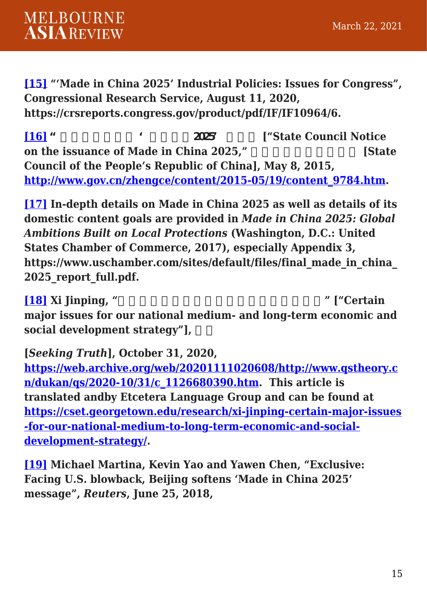**[\[15\]](#page-6-3) "'Made in China 2025' Industrial Policies: Issues for Congress", Congressional Research Service, August 11, 2020, https://crsreports.congress.gov/product/pdf/IF/IF10964/6.**

<span id="page-14-0"></span>**[\[16\]](#page-6-4)** " **Example 2025 ["State Council Notice on the issuance of Made in China 2025,"** [State **Council of the People's Republic of China], May 8, 2015, [http://www.gov.cn/zhengce/content/2015-05/19/content\\_9784.htm.](http://www.gov.cn/zhengce/content/2015-05/19/content_9784.htm)**

<span id="page-14-1"></span>**[\[17\]](#page-7-0) In-depth details on Made in China 2025 as well as details of its domestic content goals are provided in** *Made in China 2025: Global Ambitions Built on Local Protections* **(Washington, D.C.: United States Chamber of Commerce, 2017), especially Appendix 3, https://www.uschamber.com/sites/default/files/final\_made\_in\_china\_ 2025\_report\_full.pdf.**

<span id="page-14-2"></span>**[\[18\]](#page-7-1) Xi Jinping, "国家中长期经济社会发展战略若干重大问题" ["Certain major issues for our national medium- and long-term economic and** social development strategy"],

#### **[***Seeking Truth***], October 31, 2020,**

**[https://web.archive.org/web/20201111020608/http://www.qstheory.c](https://web.archive.org/web/20201111020608/http:/www.qstheory.cn/dukan/qs/2020-10/31/c_1126680390.htm) [n/dukan/qs/2020-10/31/c\\_1126680390.htm](https://web.archive.org/web/20201111020608/http:/www.qstheory.cn/dukan/qs/2020-10/31/c_1126680390.htm). This article is translated andby Etcetera Language Group and can be found at [https://cset.georgetown.edu/research/xi-jinping-certain-major-issues](https://cset.georgetown.edu/research/xi-jinping-certain-major-issues-for-our-national-medium-to-long-term-economic-and-social-development-strategy/) [-for-our-national-medium-to-long-term-economic-and-social](https://cset.georgetown.edu/research/xi-jinping-certain-major-issues-for-our-national-medium-to-long-term-economic-and-social-development-strategy/)[development-strategy/](https://cset.georgetown.edu/research/xi-jinping-certain-major-issues-for-our-national-medium-to-long-term-economic-and-social-development-strategy/).**

<span id="page-14-3"></span>**[\[19\]](#page-7-2) Michael Martina, Kevin Yao and Yawen Chen, "Exclusive: Facing U.S. blowback, Beijing softens 'Made in China 2025' message",** *Reuters***, June 25, 2018,**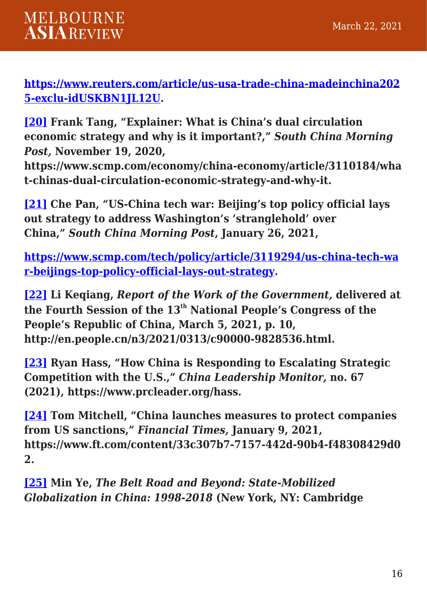#### **[https://www.reuters.com/article/us-usa-trade-china-madeinchina202](https://www.reuters.com/article/us-usa-trade-china-madeinchina2025-exclu-idUSKBN1JL12U) [5-exclu-idUSKBN1JL12U.](https://www.reuters.com/article/us-usa-trade-china-madeinchina2025-exclu-idUSKBN1JL12U)**

<span id="page-15-0"></span>**[\[20\]](#page-7-3) Frank Tang, "Explainer: What is China's dual circulation economic strategy and why is it important?,"** *South China Morning Post,* **November 19, 2020,**

**https://www.scmp.com/economy/china-economy/article/3110184/wha t-chinas-dual-circulation-economic-strategy-and-why-it.**

<span id="page-15-1"></span>**[\[21\]](#page-8-0) Che Pan, "US-China tech war: Beijing's top policy official lays out strategy to address Washington's 'stranglehold' over China,"** *South China Morning Post***, January 26, 2021,** 

**[https://www.scmp.com/tech/policy/article/3119294/us-china-tech-wa](https://www.scmp.com/tech/policy/article/3119294/us-china-tech-war-beijings-top-policy-official-lays-out-strategy) [r-beijings-top-policy-official-lays-out-strategy.](https://www.scmp.com/tech/policy/article/3119294/us-china-tech-war-beijings-top-policy-official-lays-out-strategy)**

<span id="page-15-2"></span>**[\[22\]](#page-8-1) Li Keqiang,** *Report of the Work of the Government,* **delivered at the Fourth Session of the 13th National People's Congress of the People's Republic of China, March 5, 2021, p. 10, http://en.people.cn/n3/2021/0313/c90000-9828536.html.**

<span id="page-15-3"></span>**[\[23\]](#page-10-0) Ryan Hass, "How China is Responding to Escalating Strategic Competition with the U.S.,"** *China Leadership Monitor,* **no. 67 (2021), https://www.prcleader.org/hass.**

<span id="page-15-4"></span>**[\[24\]](#page-10-1) Tom Mitchell, "China launches measures to protect companies from US sanctions,"** *Financial Times,* **January 9, 2021, https://www.ft.com/content/33c307b7-7157-442d-90b4-f48308429d0 2.**

<span id="page-15-5"></span>**[\[25\]](#page-10-2) Min Ye,** *The Belt Road and Beyond: State-Mobilized Globalization in China: 1998-2018* **(New York, NY: Cambridge**